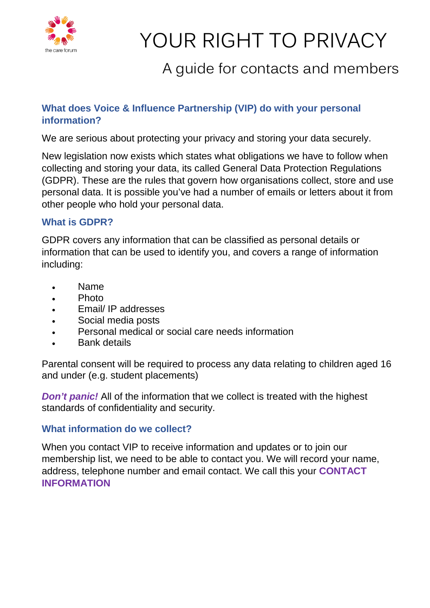

# YOUR RIGHT TO PRIVACY

## A guide for contacts and members

### **What does Voice & Influence Partnership (VIP) do with your personal information?**

We are serious about protecting your privacy and storing your data securely.

New legislation now exists which states what obligations we have to follow when collecting and storing your data, its called General Data Protection Regulations (GDPR). These are the rules that govern how organisations collect, store and use personal data. It is possible you've had a number of emails or letters about it from other people who hold your personal data.

#### **What is GDPR?**

GDPR covers any information that can be classified as personal details or information that can be used to identify you, and covers a range of information including:

- Name
- Photo
- Email/ IP addresses
- Social media posts
- Personal medical or social care needs information
- Bank details

Parental consent will be required to process any data relating to children aged 16 and under (e.g. student placements)

*Don't panic!* All of the information that we collect is treated with the highest standards of confidentiality and security.

#### **What information do we collect?**

When you contact VIP to receive information and updates or to join our membership list, we need to be able to contact you. We will record your name, address, telephone number and email contact. We call this your **CONTACT INFORMATION**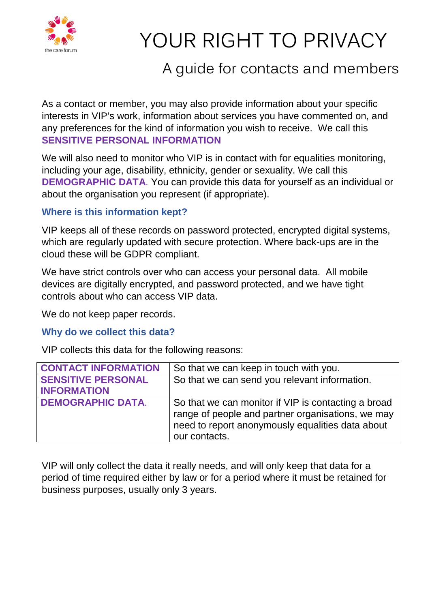

# YOUR RIGHT TO PRIVACY

## A guide for contacts and members

As a contact or member, you may also provide information about your specific interests in VIP's work, information about services you have commented on, and any preferences for the kind of information you wish to receive. We call this **SENSITIVE PERSONAL INFORMATION**

We will also need to monitor who VIP is in contact with for equalities monitoring, including your age, disability, ethnicity, gender or sexuality. We call this **DEMOGRAPHIC DATA**. You can provide this data for yourself as an individual or about the organisation you represent (if appropriate).

#### **Where is this information kept?**

VIP keeps all of these records on password protected, encrypted digital systems, which are regularly updated with secure protection. Where back-ups are in the cloud these will be GDPR compliant.

We have strict controls over who can access your personal data. All mobile devices are digitally encrypted, and password protected, and we have tight controls about who can access VIP data.

We do not keep paper records.

#### **Why do we collect this data?**

VIP collects this data for the following reasons:

| <b>CONTACT INFORMATION</b> | So that we can keep in touch with you.                                                                                                                                        |
|----------------------------|-------------------------------------------------------------------------------------------------------------------------------------------------------------------------------|
| <b>SENSITIVE PERSONAL</b>  | So that we can send you relevant information.                                                                                                                                 |
| <b>INFORMATION</b>         |                                                                                                                                                                               |
| <b>DEMOGRAPHIC DATA.</b>   | So that we can monitor if VIP is contacting a broad<br>range of people and partner organisations, we may<br>need to report anonymously equalities data about<br>our contacts. |

VIP will only collect the data it really needs, and will only keep that data for a period of time required either by law or for a period where it must be retained for business purposes, usually only 3 years.